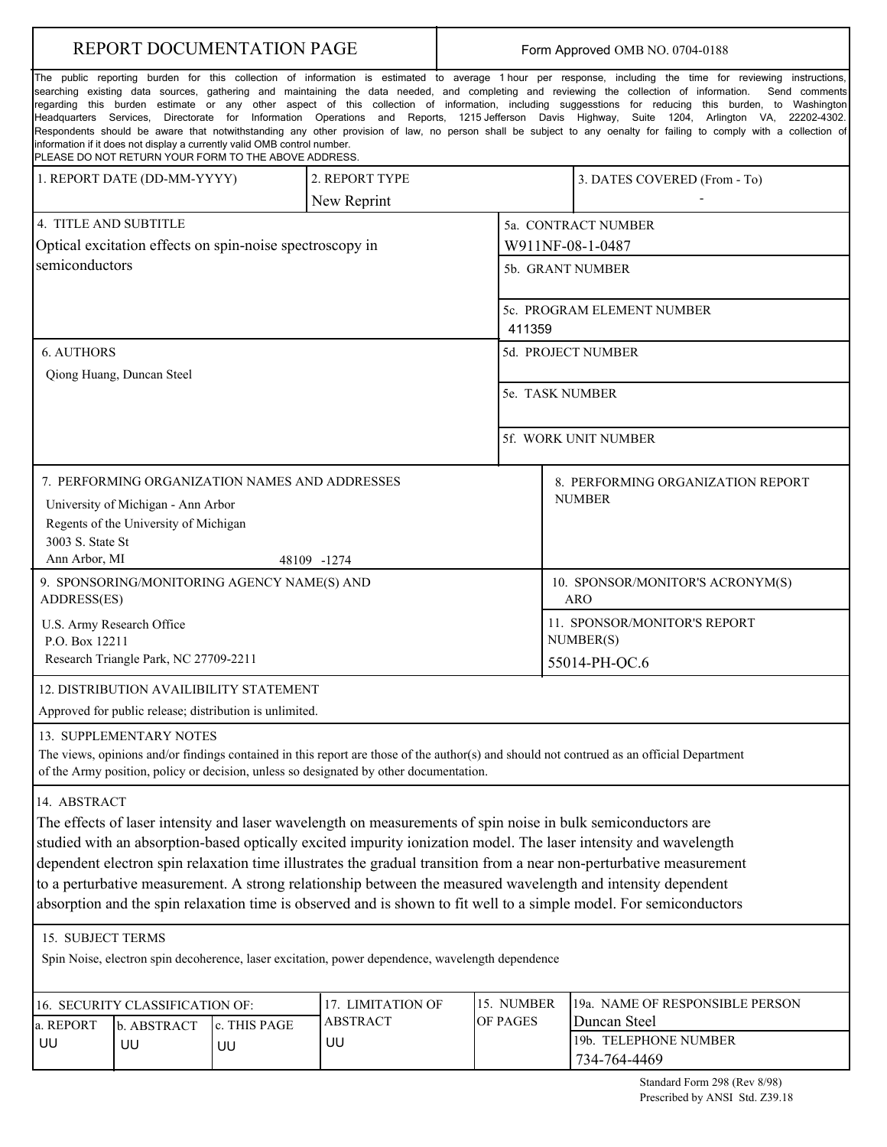| <b>REPORT DOCUMENTATION PAGE</b>                                                                                                                                                                                                   |                                                                                                                                  |              |                 |  | Form Approved OMB NO. 0704-0188 |                                                    |                                                                                                                                                                                                                                                                                                                                                                                                                                                                                                                                                                                                                                                                                                                                                                                                       |  |
|------------------------------------------------------------------------------------------------------------------------------------------------------------------------------------------------------------------------------------|----------------------------------------------------------------------------------------------------------------------------------|--------------|-----------------|--|---------------------------------|----------------------------------------------------|-------------------------------------------------------------------------------------------------------------------------------------------------------------------------------------------------------------------------------------------------------------------------------------------------------------------------------------------------------------------------------------------------------------------------------------------------------------------------------------------------------------------------------------------------------------------------------------------------------------------------------------------------------------------------------------------------------------------------------------------------------------------------------------------------------|--|
|                                                                                                                                                                                                                                    | information if it does not display a currently valid OMB control number.<br>PLEASE DO NOT RETURN YOUR FORM TO THE ABOVE ADDRESS. |              |                 |  |                                 |                                                    | The public reporting burden for this collection of information is estimated to average 1 hour per response, including the time for reviewing instructions,<br>searching existing data sources, gathering and maintaining the data needed, and completing and reviewing the collection of information.<br>Send comments<br>regarding this burden estimate or any other aspect of this collection of information, including suggesstions for reducing this burden, to Washington<br>Headquarters Services, Directorate for Information Operations and Reports, 1215 Jefferson Davis Highway, Suite 1204, Arlington VA, 22202-4302.<br>Respondents should be aware that notwithstanding any other provision of law, no person shall be subject to any oenalty for failing to comply with a collection of |  |
| 2. REPORT TYPE<br>1. REPORT DATE (DD-MM-YYYY)                                                                                                                                                                                      |                                                                                                                                  |              |                 |  |                                 |                                                    | 3. DATES COVERED (From - To)                                                                                                                                                                                                                                                                                                                                                                                                                                                                                                                                                                                                                                                                                                                                                                          |  |
| New Reprint                                                                                                                                                                                                                        |                                                                                                                                  |              |                 |  |                                 |                                                    |                                                                                                                                                                                                                                                                                                                                                                                                                                                                                                                                                                                                                                                                                                                                                                                                       |  |
| 4. TITLE AND SUBTITLE                                                                                                                                                                                                              |                                                                                                                                  |              |                 |  | 5a. CONTRACT NUMBER             |                                                    |                                                                                                                                                                                                                                                                                                                                                                                                                                                                                                                                                                                                                                                                                                                                                                                                       |  |
| Optical excitation effects on spin-noise spectroscopy in                                                                                                                                                                           |                                                                                                                                  |              |                 |  | W911NF-08-1-0487                |                                                    |                                                                                                                                                                                                                                                                                                                                                                                                                                                                                                                                                                                                                                                                                                                                                                                                       |  |
| semiconductors                                                                                                                                                                                                                     |                                                                                                                                  |              |                 |  | 5b. GRANT NUMBER                |                                                    |                                                                                                                                                                                                                                                                                                                                                                                                                                                                                                                                                                                                                                                                                                                                                                                                       |  |
|                                                                                                                                                                                                                                    |                                                                                                                                  |              |                 |  |                                 |                                                    |                                                                                                                                                                                                                                                                                                                                                                                                                                                                                                                                                                                                                                                                                                                                                                                                       |  |
|                                                                                                                                                                                                                                    |                                                                                                                                  |              |                 |  | 5c. PROGRAM ELEMENT NUMBER      |                                                    |                                                                                                                                                                                                                                                                                                                                                                                                                                                                                                                                                                                                                                                                                                                                                                                                       |  |
|                                                                                                                                                                                                                                    |                                                                                                                                  |              |                 |  | 411359                          |                                                    |                                                                                                                                                                                                                                                                                                                                                                                                                                                                                                                                                                                                                                                                                                                                                                                                       |  |
| <b>6. AUTHORS</b><br>5d. PROJECT NUMBER                                                                                                                                                                                            |                                                                                                                                  |              |                 |  |                                 |                                                    |                                                                                                                                                                                                                                                                                                                                                                                                                                                                                                                                                                                                                                                                                                                                                                                                       |  |
| Qiong Huang, Duncan Steel                                                                                                                                                                                                          |                                                                                                                                  |              |                 |  |                                 | 5e. TASK NUMBER                                    |                                                                                                                                                                                                                                                                                                                                                                                                                                                                                                                                                                                                                                                                                                                                                                                                       |  |
|                                                                                                                                                                                                                                    |                                                                                                                                  |              |                 |  |                                 |                                                    |                                                                                                                                                                                                                                                                                                                                                                                                                                                                                                                                                                                                                                                                                                                                                                                                       |  |
|                                                                                                                                                                                                                                    |                                                                                                                                  |              |                 |  | 5f. WORK UNIT NUMBER            |                                                    |                                                                                                                                                                                                                                                                                                                                                                                                                                                                                                                                                                                                                                                                                                                                                                                                       |  |
|                                                                                                                                                                                                                                    |                                                                                                                                  |              |                 |  |                                 |                                                    |                                                                                                                                                                                                                                                                                                                                                                                                                                                                                                                                                                                                                                                                                                                                                                                                       |  |
| 7. PERFORMING ORGANIZATION NAMES AND ADDRESSES                                                                                                                                                                                     |                                                                                                                                  |              |                 |  |                                 | 8. PERFORMING ORGANIZATION REPORT<br><b>NUMBER</b> |                                                                                                                                                                                                                                                                                                                                                                                                                                                                                                                                                                                                                                                                                                                                                                                                       |  |
| University of Michigan - Ann Arbor                                                                                                                                                                                                 |                                                                                                                                  |              |                 |  |                                 |                                                    |                                                                                                                                                                                                                                                                                                                                                                                                                                                                                                                                                                                                                                                                                                                                                                                                       |  |
| Regents of the University of Michigan                                                                                                                                                                                              |                                                                                                                                  |              |                 |  |                                 |                                                    |                                                                                                                                                                                                                                                                                                                                                                                                                                                                                                                                                                                                                                                                                                                                                                                                       |  |
| 3003 S. State St                                                                                                                                                                                                                   |                                                                                                                                  |              |                 |  |                                 |                                                    |                                                                                                                                                                                                                                                                                                                                                                                                                                                                                                                                                                                                                                                                                                                                                                                                       |  |
| Ann Arbor, MI<br>48109 -1274                                                                                                                                                                                                       |                                                                                                                                  |              |                 |  |                                 |                                                    |                                                                                                                                                                                                                                                                                                                                                                                                                                                                                                                                                                                                                                                                                                                                                                                                       |  |
| 9. SPONSORING/MONITORING AGENCY NAME(S) AND<br>ADDRESS(ES)                                                                                                                                                                         |                                                                                                                                  |              |                 |  |                                 | 10. SPONSOR/MONITOR'S ACRONYM(S)<br><b>ARO</b>     |                                                                                                                                                                                                                                                                                                                                                                                                                                                                                                                                                                                                                                                                                                                                                                                                       |  |
| U.S. Army Research Office                                                                                                                                                                                                          |                                                                                                                                  |              |                 |  |                                 | 11. SPONSOR/MONITOR'S REPORT                       |                                                                                                                                                                                                                                                                                                                                                                                                                                                                                                                                                                                                                                                                                                                                                                                                       |  |
| P.O. Box 12211                                                                                                                                                                                                                     |                                                                                                                                  |              |                 |  |                                 | NUMBER(S)                                          |                                                                                                                                                                                                                                                                                                                                                                                                                                                                                                                                                                                                                                                                                                                                                                                                       |  |
| Research Triangle Park, NC 27709-2211                                                                                                                                                                                              |                                                                                                                                  |              |                 |  |                                 | 55014-PH-QC.6                                      |                                                                                                                                                                                                                                                                                                                                                                                                                                                                                                                                                                                                                                                                                                                                                                                                       |  |
| 12. DISTRIBUTION AVAILIBILITY STATEMENT                                                                                                                                                                                            |                                                                                                                                  |              |                 |  |                                 |                                                    |                                                                                                                                                                                                                                                                                                                                                                                                                                                                                                                                                                                                                                                                                                                                                                                                       |  |
| Approved for public release; distribution is unlimited.                                                                                                                                                                            |                                                                                                                                  |              |                 |  |                                 |                                                    |                                                                                                                                                                                                                                                                                                                                                                                                                                                                                                                                                                                                                                                                                                                                                                                                       |  |
| 13. SUPPLEMENTARY NOTES                                                                                                                                                                                                            |                                                                                                                                  |              |                 |  |                                 |                                                    |                                                                                                                                                                                                                                                                                                                                                                                                                                                                                                                                                                                                                                                                                                                                                                                                       |  |
| The views, opinions and/or findings contained in this report are those of the author(s) and should not contrued as an official Department                                                                                          |                                                                                                                                  |              |                 |  |                                 |                                                    |                                                                                                                                                                                                                                                                                                                                                                                                                                                                                                                                                                                                                                                                                                                                                                                                       |  |
| of the Army position, policy or decision, unless so designated by other documentation.                                                                                                                                             |                                                                                                                                  |              |                 |  |                                 |                                                    |                                                                                                                                                                                                                                                                                                                                                                                                                                                                                                                                                                                                                                                                                                                                                                                                       |  |
| 14. ABSTRACT                                                                                                                                                                                                                       |                                                                                                                                  |              |                 |  |                                 |                                                    |                                                                                                                                                                                                                                                                                                                                                                                                                                                                                                                                                                                                                                                                                                                                                                                                       |  |
| The effects of laser intensity and laser wavelength on measurements of spin noise in bulk semiconductors are                                                                                                                       |                                                                                                                                  |              |                 |  |                                 |                                                    |                                                                                                                                                                                                                                                                                                                                                                                                                                                                                                                                                                                                                                                                                                                                                                                                       |  |
| studied with an absorption-based optically excited impurity ionization model. The laser intensity and wavelength                                                                                                                   |                                                                                                                                  |              |                 |  |                                 |                                                    |                                                                                                                                                                                                                                                                                                                                                                                                                                                                                                                                                                                                                                                                                                                                                                                                       |  |
| dependent electron spin relaxation time illustrates the gradual transition from a near non-perturbative measurement                                                                                                                |                                                                                                                                  |              |                 |  |                                 |                                                    |                                                                                                                                                                                                                                                                                                                                                                                                                                                                                                                                                                                                                                                                                                                                                                                                       |  |
| to a perturbative measurement. A strong relationship between the measured wavelength and intensity dependent<br>absorption and the spin relaxation time is observed and is shown to fit well to a simple model. For semiconductors |                                                                                                                                  |              |                 |  |                                 |                                                    |                                                                                                                                                                                                                                                                                                                                                                                                                                                                                                                                                                                                                                                                                                                                                                                                       |  |
|                                                                                                                                                                                                                                    |                                                                                                                                  |              |                 |  |                                 |                                                    |                                                                                                                                                                                                                                                                                                                                                                                                                                                                                                                                                                                                                                                                                                                                                                                                       |  |
| 15. SUBJECT TERMS                                                                                                                                                                                                                  |                                                                                                                                  |              |                 |  |                                 |                                                    |                                                                                                                                                                                                                                                                                                                                                                                                                                                                                                                                                                                                                                                                                                                                                                                                       |  |
| Spin Noise, electron spin decoherence, laser excitation, power dependence, wavelength dependence                                                                                                                                   |                                                                                                                                  |              |                 |  |                                 |                                                    |                                                                                                                                                                                                                                                                                                                                                                                                                                                                                                                                                                                                                                                                                                                                                                                                       |  |
| 17. LIMITATION OF<br>16. SECURITY CLASSIFICATION OF:                                                                                                                                                                               |                                                                                                                                  |              |                 |  | 15. NUMBER                      | 19a. NAME OF RESPONSIBLE PERSON                    |                                                                                                                                                                                                                                                                                                                                                                                                                                                                                                                                                                                                                                                                                                                                                                                                       |  |
| a. REPORT                                                                                                                                                                                                                          | b. ABSTRACT                                                                                                                      | c. THIS PAGE | <b>ABSTRACT</b> |  | OF PAGES                        |                                                    | Duncan Steel                                                                                                                                                                                                                                                                                                                                                                                                                                                                                                                                                                                                                                                                                                                                                                                          |  |
| UU                                                                                                                                                                                                                                 | UU                                                                                                                               | UU           | UU              |  |                                 |                                                    | 19b. TELEPHONE NUMBER<br>734-764-4469                                                                                                                                                                                                                                                                                                                                                                                                                                                                                                                                                                                                                                                                                                                                                                 |  |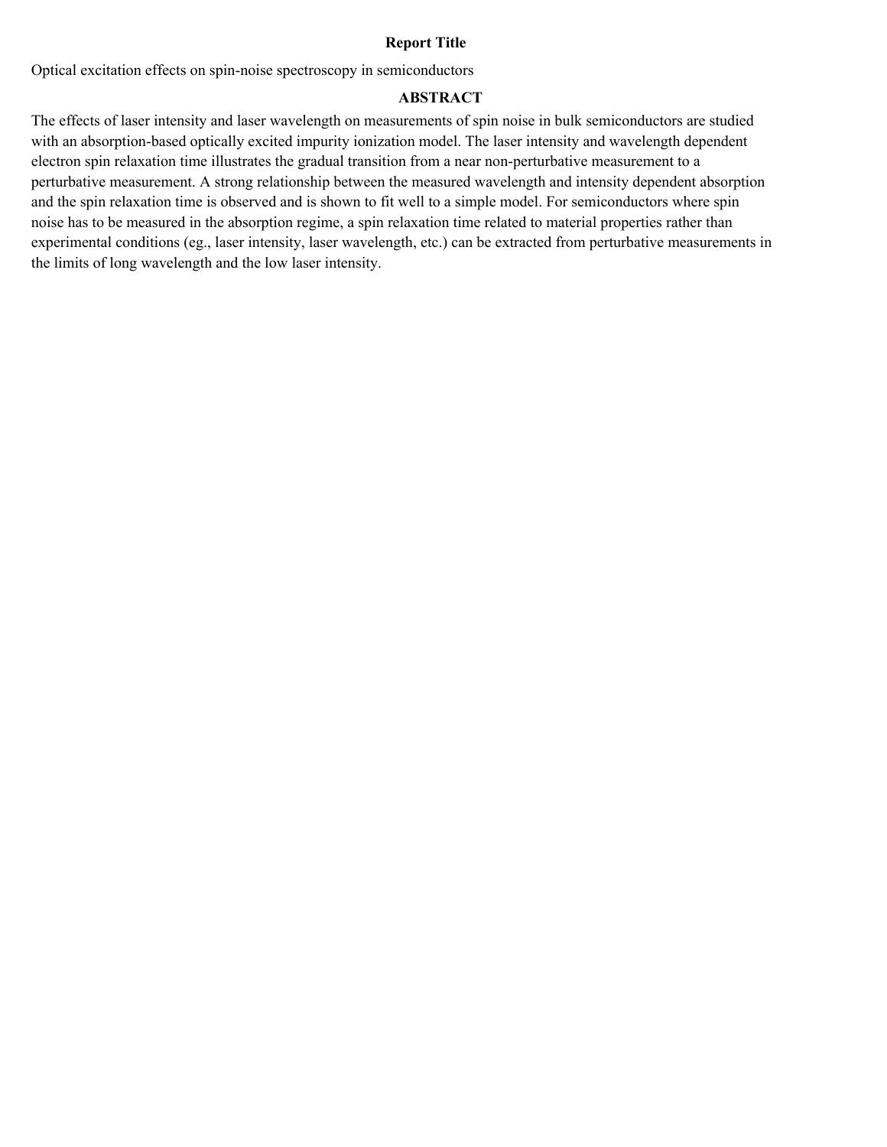# **Report Title**

Optical excitation effects on spin-noise spectroscopy in semiconductors

# **ABSTRACT**

The effects of laser intensity and laser wavelength on measurements of spin noise in bulk semiconductors are studied with an absorption-based optically excited impurity ionization model. The laser intensity and wavelength dependent electron spin relaxation time illustrates the gradual transition from a near non-perturbative measurement to a perturbative measurement. A strong relationship between the measured wavelength and intensity dependent absorption and the spin relaxation time is observed and is shown to fit well to a simple model. For semiconductors where spin noise has to be measured in the absorption regime, a spin relaxation time related to material properties rather than experimental conditions (eg., laser intensity, laser wavelength, etc.) can be extracted from perturbative measurements in the limits of long wavelength and the low laser intensity.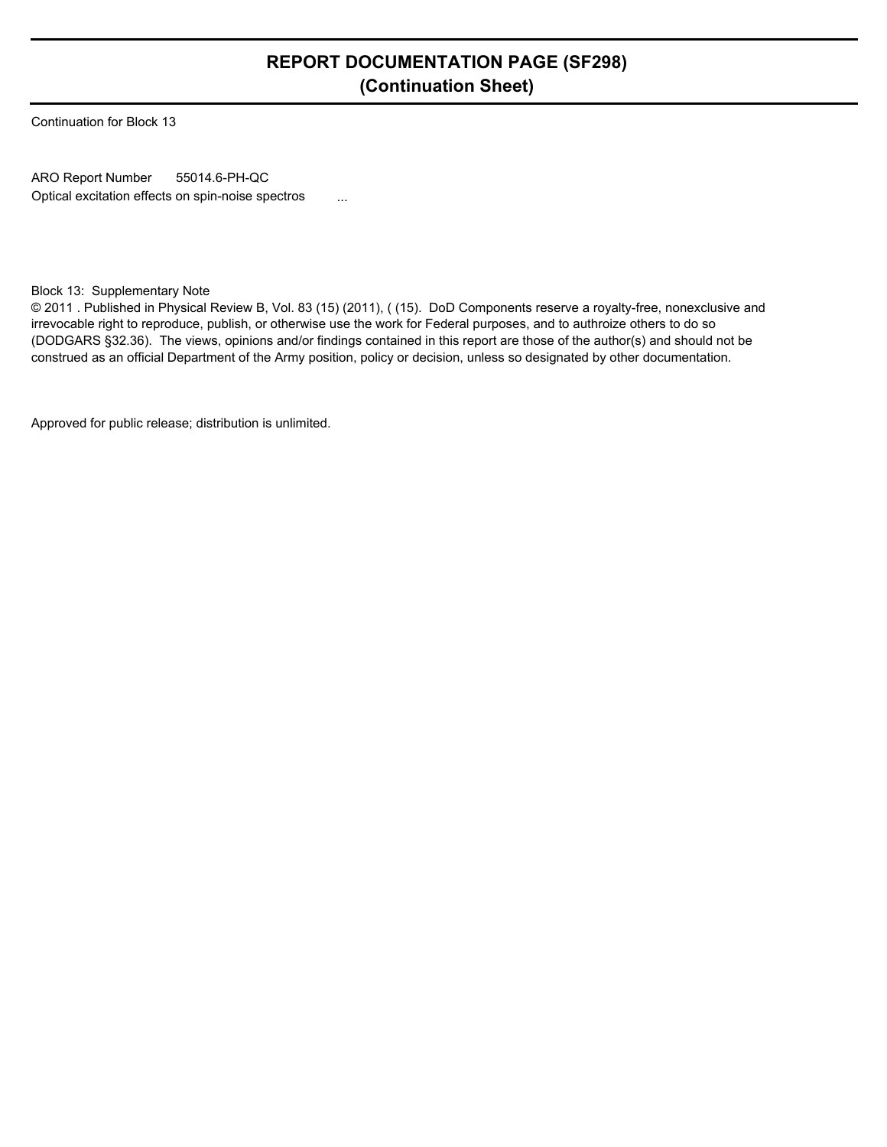# **REPORT DOCUMENTATION PAGE (SF298) (Continuation Sheet)**

Continuation for Block 13

ARO Report Number Optical excitation effects on spin-noise spectros ... 55014.6-PH-QC

Block 13: Supplementary Note

© 2011 . Published in Physical Review B, Vol. 83 (15) (2011), ( (15). DoD Components reserve a royalty-free, nonexclusive and irrevocable right to reproduce, publish, or otherwise use the work for Federal purposes, and to authroize others to do so (DODGARS §32.36). The views, opinions and/or findings contained in this report are those of the author(s) and should not be construed as an official Department of the Army position, policy or decision, unless so designated by other documentation.

Approved for public release; distribution is unlimited.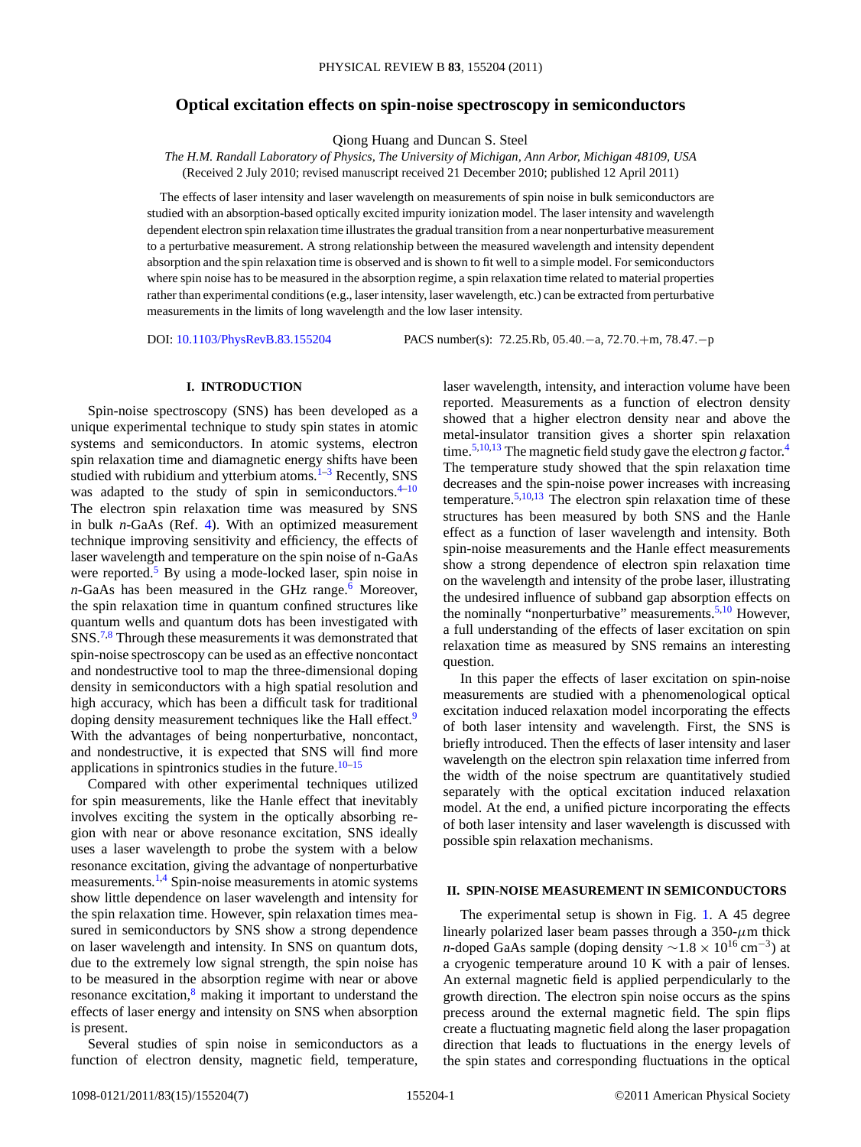# **Optical excitation effects on spin-noise spectroscopy in semiconductors**

Qiong Huang and Duncan S. Steel

*The H.M. Randall Laboratory of Physics, The University of Michigan, Ann Arbor, Michigan 48109, USA* (Received 2 July 2010; revised manuscript received 21 December 2010; published 12 April 2011)

The effects of laser intensity and laser wavelength on measurements of spin noise in bulk semiconductors are studied with an absorption-based optically excited impurity ionization model. The laser intensity and wavelength dependent electron spin relaxation time illustrates the gradual transition from a near nonperturbative measurement to a perturbative measurement. A strong relationship between the measured wavelength and intensity dependent absorption and the spin relaxation time is observed and is shown to fit well to a simple model. For semiconductors where spin noise has to be measured in the absorption regime, a spin relaxation time related to material properties rather than experimental conditions (e.g., laser intensity, laser wavelength, etc.) can be extracted from perturbative measurements in the limits of long wavelength and the low laser intensity.

DOI: 10.1103/PhysRevB.83.155204 PACS number(s): 72*.*25*.*Rb, 05*.*40*.*−a, 72*.*70*.*+m, 78*.*47*.*−p

# **I. INTRODUCTION**

Spin-noise spectroscopy (SNS) has been developed as a unique experimental technique to study spin states in atomic systems and semiconductors. In atomic systems, electron spin relaxation time and diamagnetic energy shifts have been studied with rubidium and ytterbium atoms. $1-3$  Recently, SNS was adapted to the study of spin in semiconductors. $4\overline{10}$ The electron spin relaxation time was measured by SNS in bulk *n*-GaAs (Ref. 4). With an optimized measurement technique improving sensitivity and efficiency, the effects of laser wavelength and temperature on the spin noise of n-GaAs were reported.<sup>5</sup> By using a mode-locked laser, spin noise in *n*-GaAs has been measured in the GHz range.<sup>6</sup> Moreover, the spin relaxation time in quantum confined structures like quantum wells and quantum dots has been investigated with SNS.<sup>7,8</sup> Through these measurements it was demonstrated that spin-noise spectroscopy can be used as an effective noncontact and nondestructive tool to map the three-dimensional doping density in semiconductors with a high spatial resolution and high accuracy, which has been a difficult task for traditional doping density measurement techniques like the Hall effect.<sup>9</sup> With the advantages of being nonperturbative, noncontact, and nondestructive, it is expected that SNS will find more applications in spintronics studies in the future. $10-15$ 

Compared with other experimental techniques utilized for spin measurements, like the Hanle effect that inevitably involves exciting the system in the optically absorbing region with near or above resonance excitation, SNS ideally uses a laser wavelength to probe the system with a below resonance excitation, giving the advantage of nonperturbative measurements.<sup>1,4</sup> Spin-noise measurements in atomic systems show little dependence on laser wavelength and intensity for the spin relaxation time. However, spin relaxation times measured in semiconductors by SNS show a strong dependence on laser wavelength and intensity. In SNS on quantum dots, due to the extremely low signal strength, the spin noise has to be measured in the absorption regime with near or above resonance excitation,<sup>8</sup> making it important to understand the effects of laser energy and intensity on SNS when absorption is present.

Several studies of spin noise in semiconductors as a function of electron density, magnetic field, temperature, laser wavelength, intensity, and interaction volume have been reported. Measurements as a function of electron density showed that a higher electron density near and above the metal-insulator transition gives a shorter spin relaxation time.<sup>5,10,13</sup> The magnetic field study gave the electron *g* factor.<sup>4</sup> The temperature study showed that the spin relaxation time decreases and the spin-noise power increases with increasing temperature.<sup>5,10,13</sup> The electron spin relaxation time of these structures has been measured by both SNS and the Hanle effect as a function of laser wavelength and intensity. Both spin-noise measurements and the Hanle effect measurements show a strong dependence of electron spin relaxation time on the wavelength and intensity of the probe laser, illustrating the undesired influence of subband gap absorption effects on the nominally "nonperturbative" measurements.<sup>5,10</sup> However, a full understanding of the effects of laser excitation on spin relaxation time as measured by SNS remains an interesting question.

In this paper the effects of laser excitation on spin-noise measurements are studied with a phenomenological optical excitation induced relaxation model incorporating the effects of both laser intensity and wavelength. First, the SNS is briefly introduced. Then the effects of laser intensity and laser wavelength on the electron spin relaxation time inferred from the width of the noise spectrum are quantitatively studied separately with the optical excitation induced relaxation model. At the end, a unified picture incorporating the effects of both laser intensity and laser wavelength is discussed with possible spin relaxation mechanisms.

#### **II. SPIN-NOISE MEASUREMENT IN SEMICONDUCTORS**

The experimental setup is shown in Fig. 1. A 45 degree linearly polarized laser beam passes through a 350-*μ*m thick *n*-doped GaAs sample (doping density  $\sim$ 1.8 × 10<sup>16</sup> cm<sup>-3</sup>) at a cryogenic temperature around 10 K with a pair of lenses. An external magnetic field is applied perpendicularly to the growth direction. The electron spin noise occurs as the spins precess around the external magnetic field. The spin flips create a fluctuating magnetic field along the laser propagation direction that leads to fluctuations in the energy levels of the spin states and corresponding fluctuations in the optical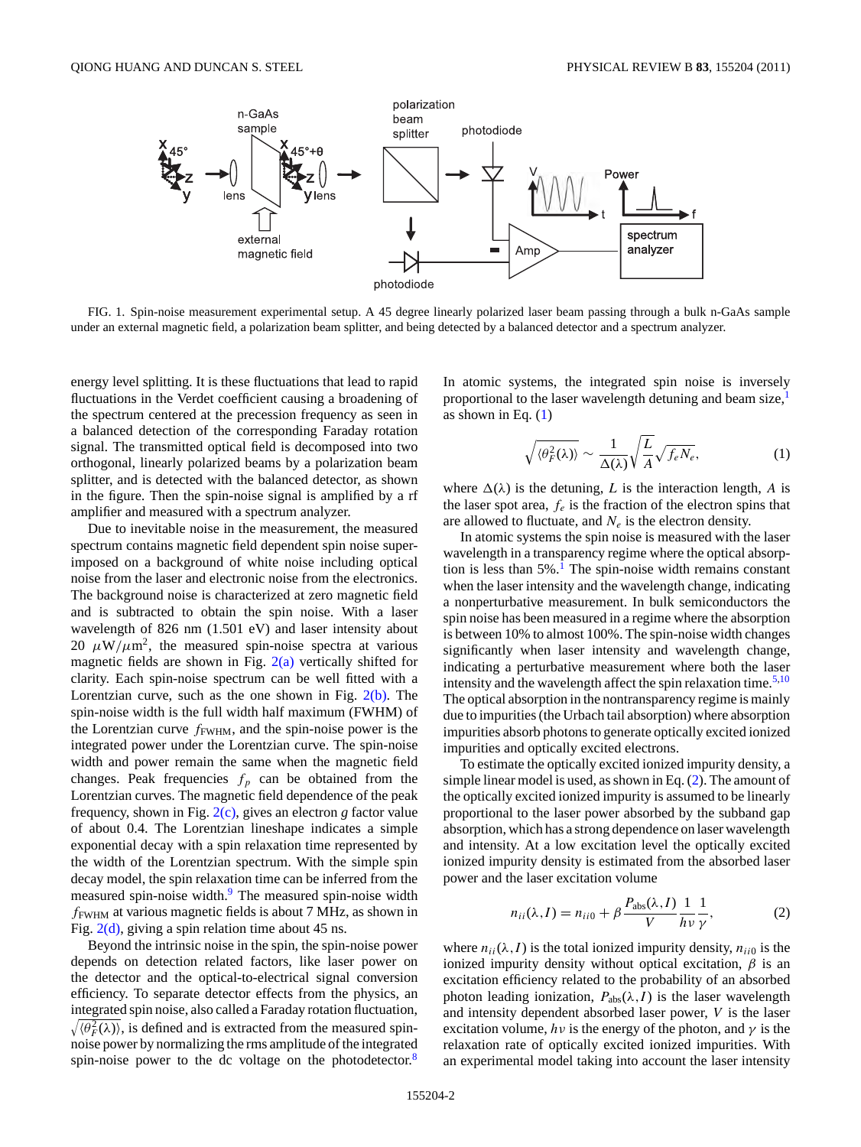

FIG. 1. Spin-noise measurement experimental setup. A 45 degree linearly polarized laser beam passing through a bulk n-GaAs sample under an external magnetic field, a polarization beam splitter, and being detected by a balanced detector and a spectrum analyzer.

energy level splitting. It is these fluctuations that lead to rapid fluctuations in the Verdet coefficient causing a broadening of the spectrum centered at the precession frequency as seen in a balanced detection of the corresponding Faraday rotation signal. The transmitted optical field is decomposed into two orthogonal, linearly polarized beams by a polarization beam splitter, and is detected with the balanced detector, as shown in the figure. Then the spin-noise signal is amplified by a rf amplifier and measured with a spectrum analyzer.

Due to inevitable noise in the measurement, the measured spectrum contains magnetic field dependent spin noise superimposed on a background of white noise including optical noise from the laser and electronic noise from the electronics. The background noise is characterized at zero magnetic field and is subtracted to obtain the spin noise. With a laser wavelength of 826 nm (1.501 eV) and laser intensity about 20  $\mu$ W/ $\mu$ m<sup>2</sup>, the measured spin-noise spectra at various magnetic fields are shown in Fig.  $2(a)$  vertically shifted for clarity. Each spin-noise spectrum can be well fitted with a Lorentzian curve, such as the one shown in Fig.  $2(b)$ . The spin-noise width is the full width half maximum (FWHM) of the Lorentzian curve  $f_{\text{FWHM}}$ , and the spin-noise power is the integrated power under the Lorentzian curve. The spin-noise width and power remain the same when the magnetic field changes. Peak frequencies  $f_p$  can be obtained from the Lorentzian curves. The magnetic field dependence of the peak frequency, shown in Fig. 2(c), gives an electron *g* factor value of about 0.4. The Lorentzian lineshape indicates a simple exponential decay with a spin relaxation time represented by the width of the Lorentzian spectrum. With the simple spin decay model, the spin relaxation time can be inferred from the measured spin-noise width.<sup>9</sup> The measured spin-noise width *f*FWHM at various magnetic fields is about 7 MHz, as shown in Fig.  $2(d)$ , giving a spin relation time about 45 ns.

Beyond the intrinsic noise in the spin, the spin-noise power depends on detection related factors, like laser power on the detector and the optical-to-electrical signal conversion efficiency. To separate detector effects from the physics, an integrated spin noise, also called a Faraday rotation fluctuation,  $\sqrt{\langle \theta_F^2(\lambda) \rangle}$ , is defined and is extracted from the measured spinnoise power by normalizing the rms amplitude of the integrated spin-noise power to the dc voltage on the photodetector. $\delta$ 

In atomic systems, the integrated spin noise is inversely proportional to the laser wavelength detuning and beam size, $<sup>1</sup>$ </sup> as shown in Eq.  $(1)$ 

$$
\sqrt{\langle \theta_F^2(\lambda) \rangle} \sim \frac{1}{\Delta(\lambda)} \sqrt{\frac{L}{A}} \sqrt{f_e N_e},\tag{1}
$$

where  $\Delta(\lambda)$  is the detuning, *L* is the interaction length, *A* is the laser spot area,  $f_e$  is the fraction of the electron spins that are allowed to fluctuate, and  $N_e$  is the electron density.

In atomic systems the spin noise is measured with the laser wavelength in a transparency regime where the optical absorption is less than  $5\%$ .<sup>1</sup> The spin-noise width remains constant when the laser intensity and the wavelength change, indicating a nonperturbative measurement. In bulk semiconductors the spin noise has been measured in a regime where the absorption is between 10% to almost 100%. The spin-noise width changes significantly when laser intensity and wavelength change, indicating a perturbative measurement where both the laser intensity and the wavelength affect the spin relaxation time.<sup>5,10</sup> The optical absorption in the nontransparency regime is mainly due to impurities (the Urbach tail absorption) where absorption impurities absorb photons to generate optically excited ionized impurities and optically excited electrons.

To estimate the optically excited ionized impurity density, a simple linear model is used, as shown in Eq. (2). The amount of the optically excited ionized impurity is assumed to be linearly proportional to the laser power absorbed by the subband gap absorption, which has a strong dependence on laser wavelength and intensity. At a low excitation level the optically excited ionized impurity density is estimated from the absorbed laser power and the laser excitation volume

$$
n_{ii}(\lambda, I) = n_{ii0} + \beta \frac{P_{\text{abs}}(\lambda, I)}{V} \frac{1}{h\nu} \frac{1}{\gamma},\tag{2}
$$

where  $n_{ii}(\lambda, I)$  is the total ionized impurity density,  $n_{ii0}$  is the ionized impurity density without optical excitation,  $\beta$  is an excitation efficiency related to the probability of an absorbed photon leading ionization,  $P_{\text{abs}}(\lambda, I)$  is the laser wavelength and intensity dependent absorbed laser power, *V* is the laser excitation volume,  $h\nu$  is the energy of the photon, and  $\gamma$  is the relaxation rate of optically excited ionized impurities. With an experimental model taking into account the laser intensity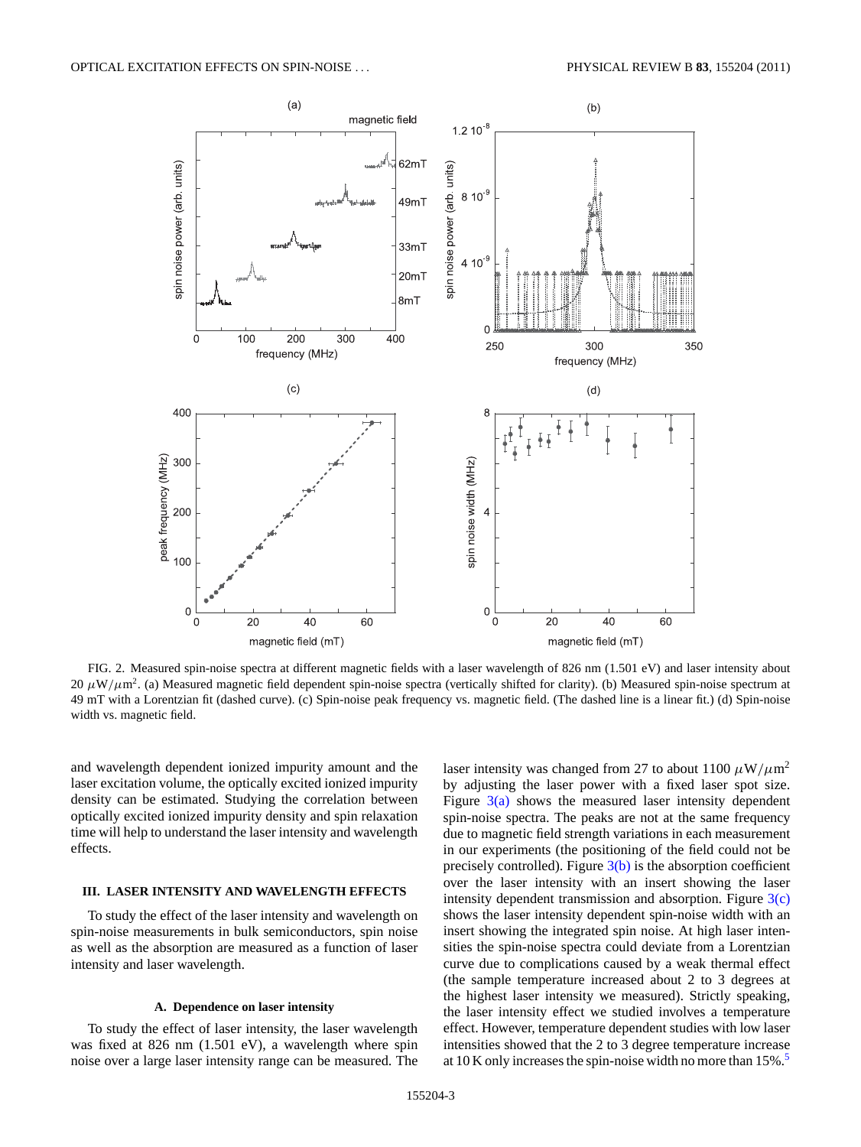

FIG. 2. Measured spin-noise spectra at different magnetic fields with a laser wavelength of 826 nm (1.501 eV) and laser intensity about 20  $\mu$ W/ $\mu$ m<sup>2</sup>. (a) Measured magnetic field dependent spin-noise spectra (vertically shifted for clarity). (b) Measured spin-noise spectrum at 49 mT with a Lorentzian fit (dashed curve). (c) Spin-noise peak frequency vs. magnetic field. (The dashed line is a linear fit.) (d) Spin-noise width vs. magnetic field.

and wavelength dependent ionized impurity amount and the laser excitation volume, the optically excited ionized impurity density can be estimated. Studying the correlation between optically excited ionized impurity density and spin relaxation time will help to understand the laser intensity and wavelength effects.

# **III. LASER INTENSITY AND WAVELENGTH EFFECTS**

To study the effect of the laser intensity and wavelength on spin-noise measurements in bulk semiconductors, spin noise as well as the absorption are measured as a function of laser intensity and laser wavelength.

## **A. Dependence on laser intensity**

To study the effect of laser intensity, the laser wavelength was fixed at 826 nm (1.501 eV), a wavelength where spin noise over a large laser intensity range can be measured. The laser intensity was changed from 27 to about  $1100 \mu W/\mu m^2$ by adjusting the laser power with a fixed laser spot size. Figure  $3(a)$  shows the measured laser intensity dependent spin-noise spectra. The peaks are not at the same frequency due to magnetic field strength variations in each measurement in our experiments (the positioning of the field could not be precisely controlled). Figure  $3(b)$  is the absorption coefficient over the laser intensity with an insert showing the laser intensity dependent transmission and absorption. Figure  $3(c)$ shows the laser intensity dependent spin-noise width with an insert showing the integrated spin noise. At high laser intensities the spin-noise spectra could deviate from a Lorentzian curve due to complications caused by a weak thermal effect (the sample temperature increased about 2 to 3 degrees at the highest laser intensity we measured). Strictly speaking, the laser intensity effect we studied involves a temperature effect. However, temperature dependent studies with low laser intensities showed that the 2 to 3 degree temperature increase at 10 K only increases the spin-noise width no more than  $15\%$ .<sup>5</sup>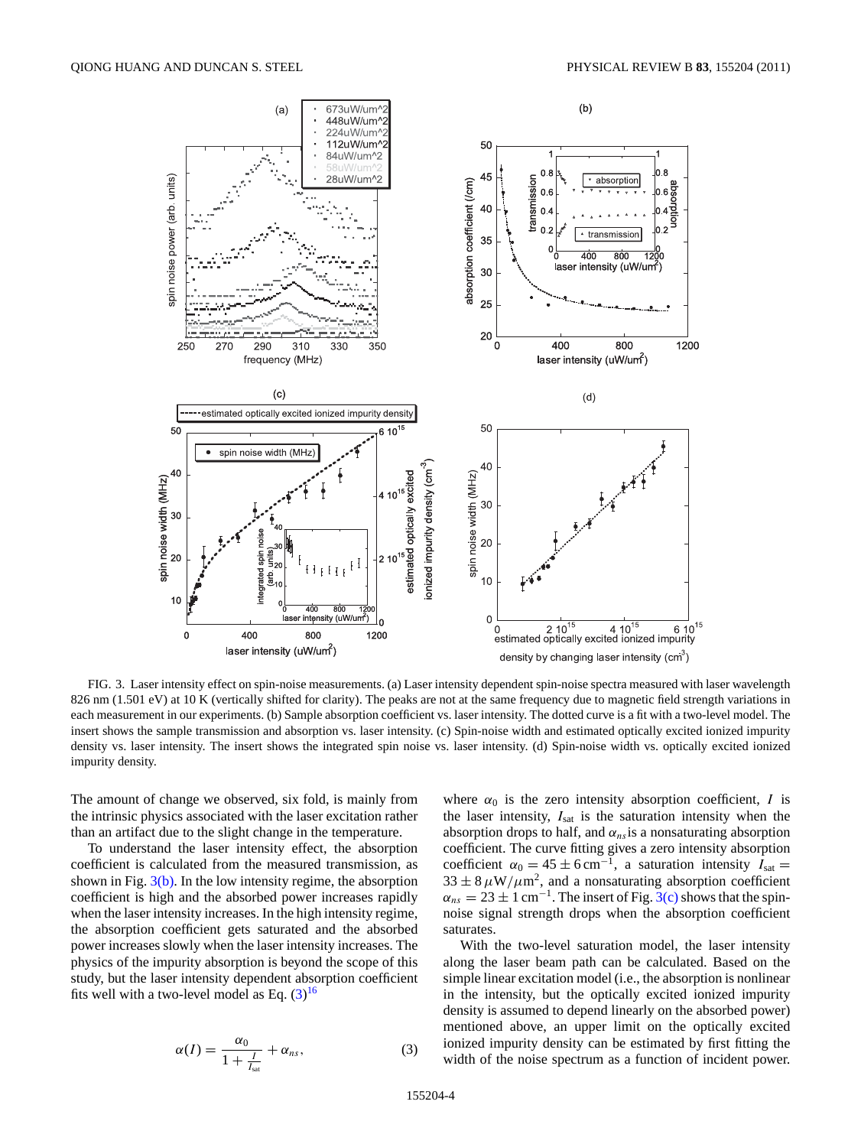

FIG. 3. Laser intensity effect on spin-noise measurements. (a) Laser intensity dependent spin-noise spectra measured with laser wavelength 826 nm (1.501 eV) at 10 K (vertically shifted for clarity). The peaks are not at the same frequency due to magnetic field strength variations in each measurement in our experiments. (b) Sample absorption coefficient vs. laser intensity. The dotted curve is a fit with a two-level model. The insert shows the sample transmission and absorption vs. laser intensity. (c) Spin-noise width and estimated optically excited ionized impurity density vs. laser intensity. The insert shows the integrated spin noise vs. laser intensity. (d) Spin-noise width vs. optically excited ionized impurity density.

The amount of change we observed, six fold, is mainly from the intrinsic physics associated with the laser excitation rather than an artifact due to the slight change in the temperature.

To understand the laser intensity effect, the absorption coefficient is calculated from the measured transmission, as shown in Fig.  $3(b)$ . In the low intensity regime, the absorption coefficient is high and the absorbed power increases rapidly when the laser intensity increases. In the high intensity regime, the absorption coefficient gets saturated and the absorbed power increases slowly when the laser intensity increases. The physics of the impurity absorption is beyond the scope of this study, but the laser intensity dependent absorption coefficient fits well with a two-level model as Eq.  $(3)^{16}$ 

$$
\alpha(I) = \frac{\alpha_0}{1 + \frac{I}{I_{\text{sat}}}} + \alpha_{ns},\tag{3}
$$

where  $\alpha_0$  is the zero intensity absorption coefficient, *I* is the laser intensity, *I*sat is the saturation intensity when the absorption drops to half, and *αns*is a nonsaturating absorption coefficient. The curve fitting gives a zero intensity absorption coefficient  $\alpha_0 = 45 \pm 6 \text{ cm}^{-1}$ , a saturation intensity  $I_{\text{sat}} =$  $33 \pm 8 \,\mu\text{W}/\mu\text{m}^2$ , and a nonsaturating absorption coefficient  $\alpha_{ns} = 23 \pm 1 \text{ cm}^{-1}$ . The insert of Fig. 3(c) shows that the spinnoise signal strength drops when the absorption coefficient saturates.

With the two-level saturation model, the laser intensity along the laser beam path can be calculated. Based on the simple linear excitation model (i.e., the absorption is nonlinear in the intensity, but the optically excited ionized impurity density is assumed to depend linearly on the absorbed power) mentioned above, an upper limit on the optically excited ionized impurity density can be estimated by first fitting the width of the noise spectrum as a function of incident power.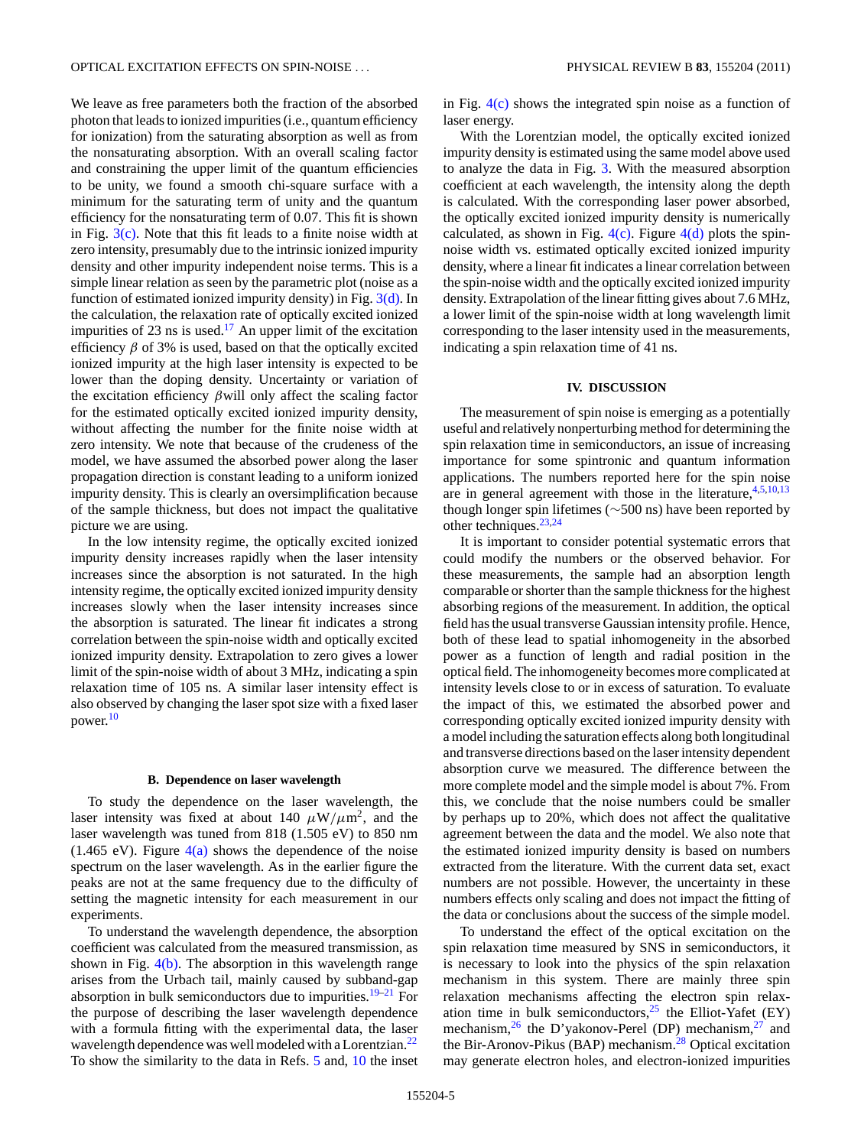We leave as free parameters both the fraction of the absorbed photon that leads to ionized impurities (i.e., quantum efficiency for ionization) from the saturating absorption as well as from the nonsaturating absorption. With an overall scaling factor and constraining the upper limit of the quantum efficiencies to be unity, we found a smooth chi-square surface with a minimum for the saturating term of unity and the quantum efficiency for the nonsaturating term of 0.07. This fit is shown in Fig.  $3(c)$ . Note that this fit leads to a finite noise width at zero intensity, presumably due to the intrinsic ionized impurity density and other impurity independent noise terms. This is a simple linear relation as seen by the parametric plot (noise as a function of estimated ionized impurity density) in Fig.  $3(d)$ . In the calculation, the relaxation rate of optically excited ionized impurities of 23 ns is used.<sup>17</sup> An upper limit of the excitation efficiency  $\beta$  of 3% is used, based on that the optically excited ionized impurity at the high laser intensity is expected to be lower than the doping density. Uncertainty or variation of the excitation efficiency *β*will only affect the scaling factor for the estimated optically excited ionized impurity density, without affecting the number for the finite noise width at zero intensity. We note that because of the crudeness of the model, we have assumed the absorbed power along the laser propagation direction is constant leading to a uniform ionized impurity density. This is clearly an oversimplification because of the sample thickness, but does not impact the qualitative picture we are using.

In the low intensity regime, the optically excited ionized impurity density increases rapidly when the laser intensity increases since the absorption is not saturated. In the high intensity regime, the optically excited ionized impurity density increases slowly when the laser intensity increases since the absorption is saturated. The linear fit indicates a strong correlation between the spin-noise width and optically excited ionized impurity density. Extrapolation to zero gives a lower limit of the spin-noise width of about 3 MHz, indicating a spin relaxation time of 105 ns. A similar laser intensity effect is also observed by changing the laser spot size with a fixed laser power.<sup>10</sup>

#### **B. Dependence on laser wavelength**

To study the dependence on the laser wavelength, the laser intensity was fixed at about 140  $\mu$ W/ $\mu$ m<sup>2</sup>, and the laser wavelength was tuned from 818 (1.505 eV) to 850 nm (1.465 eV). Figure  $4(a)$  shows the dependence of the noise spectrum on the laser wavelength. As in the earlier figure the peaks are not at the same frequency due to the difficulty of setting the magnetic intensity for each measurement in our experiments.

To understand the wavelength dependence, the absorption coefficient was calculated from the measured transmission, as shown in Fig.  $4(b)$ . The absorption in this wavelength range arises from the Urbach tail, mainly caused by subband-gap absorption in bulk semiconductors due to impurities. $19-21$  For the purpose of describing the laser wavelength dependence with a formula fitting with the experimental data, the laser wavelength dependence was well modeled with a Lorentzian.<sup>22</sup> To show the similarity to the data in Refs. 5 and, 10 the inset in Fig.  $4(c)$  shows the integrated spin noise as a function of laser energy.

With the Lorentzian model, the optically excited ionized impurity density is estimated using the same model above used to analyze the data in Fig. 3. With the measured absorption coefficient at each wavelength, the intensity along the depth is calculated. With the corresponding laser power absorbed, the optically excited ionized impurity density is numerically calculated, as shown in Fig.  $4(c)$ . Figure  $4(d)$  plots the spinnoise width vs. estimated optically excited ionized impurity density, where a linear fit indicates a linear correlation between the spin-noise width and the optically excited ionized impurity density. Extrapolation of the linear fitting gives about 7.6 MHz, a lower limit of the spin-noise width at long wavelength limit corresponding to the laser intensity used in the measurements, indicating a spin relaxation time of 41 ns.

### **IV. DISCUSSION**

The measurement of spin noise is emerging as a potentially useful and relatively nonperturbing method for determining the spin relaxation time in semiconductors, an issue of increasing importance for some spintronic and quantum information applications. The numbers reported here for the spin noise are in general agreement with those in the literature,  $4,5,10,13$ though longer spin lifetimes (∼500 ns) have been reported by other techniques.<sup>23,24</sup>

It is important to consider potential systematic errors that could modify the numbers or the observed behavior. For these measurements, the sample had an absorption length comparable or shorter than the sample thickness for the highest absorbing regions of the measurement. In addition, the optical field has the usual transverse Gaussian intensity profile. Hence, both of these lead to spatial inhomogeneity in the absorbed power as a function of length and radial position in the optical field. The inhomogeneity becomes more complicated at intensity levels close to or in excess of saturation. To evaluate the impact of this, we estimated the absorbed power and corresponding optically excited ionized impurity density with a model including the saturation effects along both longitudinal and transverse directions based on the laser intensity dependent absorption curve we measured. The difference between the more complete model and the simple model is about 7%. From this, we conclude that the noise numbers could be smaller by perhaps up to 20%, which does not affect the qualitative agreement between the data and the model. We also note that the estimated ionized impurity density is based on numbers extracted from the literature. With the current data set, exact numbers are not possible. However, the uncertainty in these numbers effects only scaling and does not impact the fitting of the data or conclusions about the success of the simple model.

To understand the effect of the optical excitation on the spin relaxation time measured by SNS in semiconductors, it is necessary to look into the physics of the spin relaxation mechanism in this system. There are mainly three spin relaxation mechanisms affecting the electron spin relaxation time in bulk semiconductors, $25$  the Elliot-Yafet (EY) mechanism, $^{26}$  the D'yakonov-Perel (DP) mechanism, $^{27}$  and the Bir-Aronov-Pikus (BAP) mechanism.<sup>28</sup> Optical excitation may generate electron holes, and electron-ionized impurities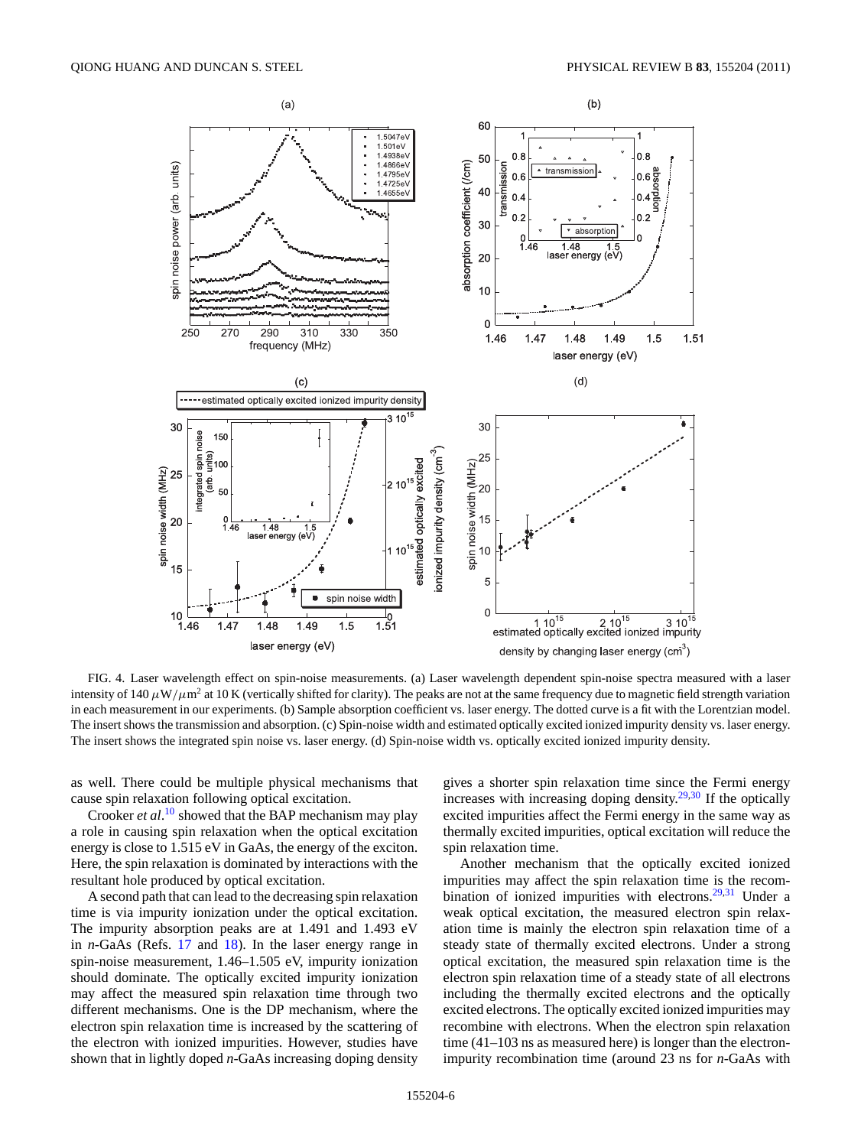

FIG. 4. Laser wavelength effect on spin-noise measurements. (a) Laser wavelength dependent spin-noise spectra measured with a laser intensity of 140  $\mu$ W/ $\mu$ m<sup>2</sup> at 10 K (vertically shifted for clarity). The peaks are not at the same frequency due to magnetic field strength variation in each measurement in our experiments. (b) Sample absorption coefficient vs. laser energy. The dotted curve is a fit with the Lorentzian model. The insert shows the transmission and absorption. (c) Spin-noise width and estimated optically excited ionized impurity density vs. laser energy. The insert shows the integrated spin noise vs. laser energy. (d) Spin-noise width vs. optically excited ionized impurity density.

as well. There could be multiple physical mechanisms that cause spin relaxation following optical excitation.

Crooker *et al*.<sup>10</sup> showed that the BAP mechanism may play a role in causing spin relaxation when the optical excitation energy is close to 1.515 eV in GaAs, the energy of the exciton. Here, the spin relaxation is dominated by interactions with the resultant hole produced by optical excitation.

A second path that can lead to the decreasing spin relaxation time is via impurity ionization under the optical excitation. The impurity absorption peaks are at 1.491 and 1.493 eV in *n*-GaAs (Refs. 17 and 18). In the laser energy range in spin-noise measurement, 1.46–1.505 eV, impurity ionization should dominate. The optically excited impurity ionization may affect the measured spin relaxation time through two different mechanisms. One is the DP mechanism, where the electron spin relaxation time is increased by the scattering of the electron with ionized impurities. However, studies have shown that in lightly doped *n*-GaAs increasing doping density gives a shorter spin relaxation time since the Fermi energy increases with increasing doping density.<sup>29,30</sup> If the optically excited impurities affect the Fermi energy in the same way as thermally excited impurities, optical excitation will reduce the spin relaxation time.

Another mechanism that the optically excited ionized impurities may affect the spin relaxation time is the recombination of ionized impurities with electrons.<sup>29,31</sup> Under a weak optical excitation, the measured electron spin relaxation time is mainly the electron spin relaxation time of a steady state of thermally excited electrons. Under a strong optical excitation, the measured spin relaxation time is the electron spin relaxation time of a steady state of all electrons including the thermally excited electrons and the optically excited electrons. The optically excited ionized impurities may recombine with electrons. When the electron spin relaxation time (41–103 ns as measured here) is longer than the electronimpurity recombination time (around 23 ns for *n*-GaAs with